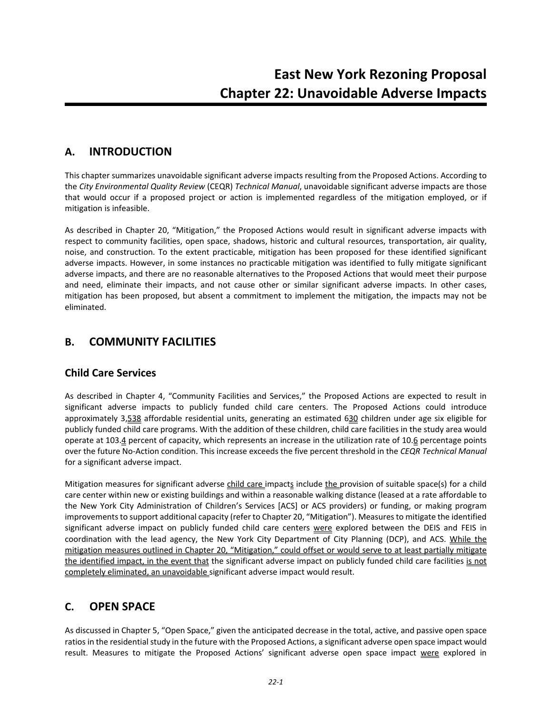## **A. INTRODUCTION**

This chapter summarizes unavoidable significant adverse impacts resulting from the Proposed Actions. According to the *City Environmental Quality Review* (CEQR) *Technical Manual*, unavoidable significant adverse impacts are those that would occur if a proposed project or action is implemented regardless of the mitigation employed, or if mitigation is infeasible.

As described in Chapter 20, "Mitigation," the Proposed Actions would result in significant adverse impacts with respect to community facilities, open space, shadows, historic and cultural resources, transportation, air quality, noise, and construction. To the extent practicable, mitigation has been proposed for these identified significant adverse impacts. However, in some instances no practicable mitigation was identified to fully mitigate significant adverse impacts, and there are no reasonable alternatives to the Proposed Actions that would meet their purpose and need, eliminate their impacts, and not cause other or similar significant adverse impacts. In other cases, mitigation has been proposed, but absent a commitment to implement the mitigation, the impacts may not be eliminated.

## **B. COMMUNITY FACILITIES**

#### **Child Care Services**

As described in Chapter 4, "Community Facilities and Services," the Proposed Actions are expected to result in significant adverse impacts to publicly funded child care centers. The Proposed Actions could introduce approximately 3,538 affordable residential units, generating an estimated 630 children under age six eligible for publicly funded child care programs. With the addition of these children, child care facilities in the study area would operate at 103.4 percent of capacity, which represents an increase in the utilization rate of 10.6 percentage points over the future No‐Action condition. This increase exceeds the five percent threshold in the *CEQR Technical Manual* for a significant adverse impact.

Mitigation measures for significant adverse child care impacts include the provision of suitable space(s) for a child care center within new or existing buildings and within a reasonable walking distance (leased at a rate affordable to the New York City Administration of Children's Services [ACS] or ACS providers) or funding, or making program improvements to support additional capacity (refer to Chapter 20, "Mitigation"). Measures to mitigate the identified significant adverse impact on publicly funded child care centers were explored between the DEIS and FEIS in coordination with the lead agency, the New York City Department of City Planning (DCP), and ACS. While the mitigation measures outlined in Chapter 20, "Mitigation," could offset or would serve to at least partially mitigate the identified impact, in the event that the significant adverse impact on publicly funded child care facilities is not completely eliminated, an unavoidable significant adverse impact would result.

## **C. OPEN SPACE**

As discussed in Chapter 5, "Open Space," given the anticipated decrease in the total, active, and passive open space ratios in the residential study in the future with the Proposed Actions, a significant adverse open space impact would result. Measures to mitigate the Proposed Actions' significant adverse open space impact were explored in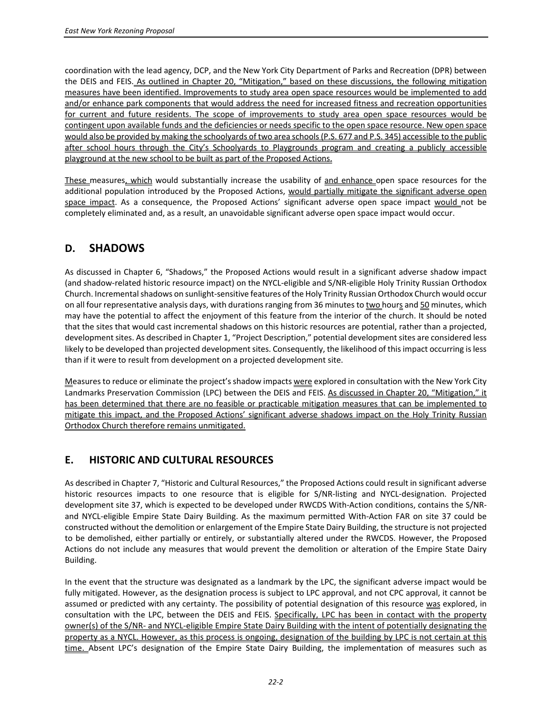coordination with the lead agency, DCP, and the New York City Department of Parks and Recreation (DPR) between the DEIS and FEIS. As outlined in Chapter 20, "Mitigation," based on these discussions, the following mitigation measures have been identified. Improvements to study area open space resources would be implemented to add and/or enhance park components that would address the need for increased fitness and recreation opportunities for current and future residents. The scope of improvements to study area open space resources would be contingent upon available funds and the deficiencies or needs specific to the open space resource. New open space would also be provided by making the schoolyards of two area schools (P.S. 677 and P.S. 345) accessible to the public after school hours through the City's Schoolyards to Playgrounds program and creating a publicly accessible playground at the new school to be built as part of the Proposed Actions.

These measures, which would substantially increase the usability of and enhance open space resources for the additional population introduced by the Proposed Actions, would partially mitigate the significant adverse open space impact. As a consequence, the Proposed Actions' significant adverse open space impact would not be completely eliminated and, as a result, an unavoidable significant adverse open space impact would occur.

## **D. SHADOWS**

As discussed in Chapter 6, "Shadows," the Proposed Actions would result in a significant adverse shadow impact (and shadow‐related historic resource impact) on the NYCL‐eligible and S/NR‐eligible Holy Trinity Russian Orthodox Church. Incremental shadows on sunlight-sensitive features of the Holy Trinity Russian Orthodox Church would occur on all four representative analysis days, with durations ranging from 36 minutes to two hours and 50 minutes, which may have the potential to affect the enjoyment of this feature from the interior of the church. It should be noted that the sites that would cast incremental shadows on this historic resources are potential, rather than a projected, development sites. As described in Chapter 1, "Project Description," potential development sites are considered less likely to be developed than projected development sites. Consequently, the likelihood of this impact occurring is less than if it were to result from development on a projected development site.

Measures to reduce or eliminate the project's shadow impacts were explored in consultation with the New York City Landmarks Preservation Commission (LPC) between the DEIS and FEIS. As discussed in Chapter 20, "Mitigation," it has been determined that there are no feasible or practicable mitigation measures that can be implemented to mitigate this impact, and the Proposed Actions' significant adverse shadows impact on the Holy Trinity Russian Orthodox Church therefore remains unmitigated.

### **E. HISTORIC AND CULTURAL RESOURCES**

As described in Chapter 7, "Historic and Cultural Resources," the Proposed Actions could result in significant adverse historic resources impacts to one resource that is eligible for S/NR-listing and NYCL-designation. Projected development site 37, which is expected to be developed under RWCDS With‐Action conditions, contains the S/NR‐ and NYCL‐eligible Empire State Dairy Building. As the maximum permitted With‐Action FAR on site 37 could be constructed without the demolition or enlargement of the Empire State Dairy Building, the structure is not projected to be demolished, either partially or entirely, or substantially altered under the RWCDS. However, the Proposed Actions do not include any measures that would prevent the demolition or alteration of the Empire State Dairy Building.

In the event that the structure was designated as a landmark by the LPC, the significant adverse impact would be fully mitigated. However, as the designation process is subject to LPC approval, and not CPC approval, it cannot be assumed or predicted with any certainty. The possibility of potential designation of this resource was explored, in consultation with the LPC, between the DEIS and FEIS. Specifically, LPC has been in contact with the property owner(s) of the S/NR‐ and NYCL‐eligible Empire State Dairy Building with the intent of potentially designating the property as a NYCL. However, as this process is ongoing, designation of the building by LPC is not certain at this time. Absent LPC's designation of the Empire State Dairy Building, the implementation of measures such as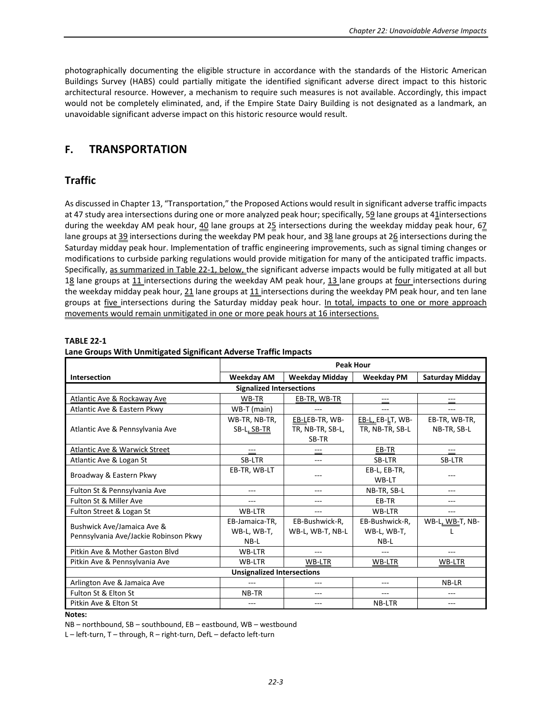photographically documenting the eligible structure in accordance with the standards of the Historic American Buildings Survey (HABS) could partially mitigate the identified significant adverse direct impact to this historic architectural resource. However, a mechanism to require such measures is not available. Accordingly, this impact would not be completely eliminated, and, if the Empire State Dairy Building is not designated as a landmark, an unavoidable significant adverse impact on this historic resource would result.

# **F. TRANSPORTATION**

## **Traffic**

As discussed in Chapter 13, "Transportation," the Proposed Actions would result in significant adverse traffic impacts at 47 study area intersections during one or more analyzed peak hour; specifically, 59 lane groups at 41 intersections during the weekday AM peak hour,  $40$  lane groups at 25 intersections during the weekday midday peak hour, 67 lane groups at 39 intersections during the weekday PM peak hour, and 38 lane groups at 26 intersections during the Saturday midday peak hour. Implementation of traffic engineering improvements, such as signal timing changes or modifications to curbside parking regulations would provide mitigation for many of the anticipated traffic impacts. Specifically, as summarized in Table 22-1, below, the significant adverse impacts would be fully mitigated at all but 18 lane groups at 11 intersections during the weekday AM peak hour, 13 lane groups at four intersections during the weekday midday peak hour,  $21$  lane groups at  $11$  intersections during the weekday PM peak hour, and ten lane groups at *five* intersections during the Saturday midday peak hour. In total, impacts to one or more approach movements would remain unmitigated in one or more peak hours at 16 intersections.

|                                        | <b>Peak Hour</b> |                       |                   |                        |
|----------------------------------------|------------------|-----------------------|-------------------|------------------------|
| Intersection                           | Weekday AM       | <b>Weekday Midday</b> | <b>Weekday PM</b> | <b>Saturday Midday</b> |
| <b>Signalized Intersections</b>        |                  |                       |                   |                        |
| <b>Atlantic Ave &amp; Rockaway Ave</b> | WB-TR            | EB-TR, WB-TR          | ---               | ---                    |
| Atlantic Ave & Eastern Pkwy            | WB-T (main)      |                       | $ -$              |                        |
|                                        | WB-TR, NB-TR,    | EB-LEB-TR, WB-        | EB-L, EB-LT, WB-  | EB-TR, WB-TR,          |
| Atlantic Ave & Pennsylvania Ave        | SB-L, SB-TR      | TR, NB-TR, SB-L,      | TR, NB-TR, SB-L   | NB-TR, SB-L            |
|                                        |                  | SB-TR                 |                   |                        |
| Atlantic Ave & Warwick Street          | ---              | ---                   | EB-TR             | ---                    |
| Atlantic Ave & Logan St                | SB-LTR           | $---$                 | SB-LTR            | SB-LTR                 |
| Broadway & Eastern Pkwy                | EB-TR, WB-LT     |                       | EB-L, EB-TR,      |                        |
|                                        |                  |                       | WB-LT             |                        |
| Fulton St & Pennsylvania Ave           | ---              | $- - -$               | NB-TR, SB-L       | ---                    |
| Fulton St & Miller Ave                 | ---              | ---                   | EB-TR             | ---                    |
| Fulton Street & Logan St               | WB-LTR           | $- - -$               | WB-LTR            | ---                    |
| Bushwick Ave/Jamaica Ave &             | EB-Jamaica-TR.   | EB-Bushwick-R.        | EB-Bushwick-R.    | WB-L, WB-T, NB-        |
| Pennsylvania Ave/Jackie Robinson Pkwy  | WB-L, WB-T,      | WB-L, WB-T, NB-L      | WB-L, WB-T,       |                        |
|                                        | NB-L             |                       | NB-L              |                        |
| Pitkin Ave & Mother Gaston Blyd        | WB-LTR           | $---$                 | ---               | ---                    |
| Pitkin Ave & Pennsylvania Ave          | WB-LTR           | WB-LTR                | WB-LTR            | WB-LTR                 |
| <b>Unsignalized Intersections</b>      |                  |                       |                   |                        |
| Arlington Ave & Jamaica Ave            | ---              | ---                   | ---               | NB-LR                  |
| Fulton St & Elton St                   | NB-TR            | ---                   | ---               | ---                    |
| Pitkin Ave & Elton St                  | ---              | $- - -$               | NB-LTR            | ---                    |

#### **TABLE 22‐1**

## **Lane Groups With Unmitigated Significant Adverse Traffic Impacts**

**Notes:**

NB – northbound, SB – southbound, EB – eastbound, WB – westbound

L – left‐turn, T – through, R – right‐turn, DefL – defacto left‐turn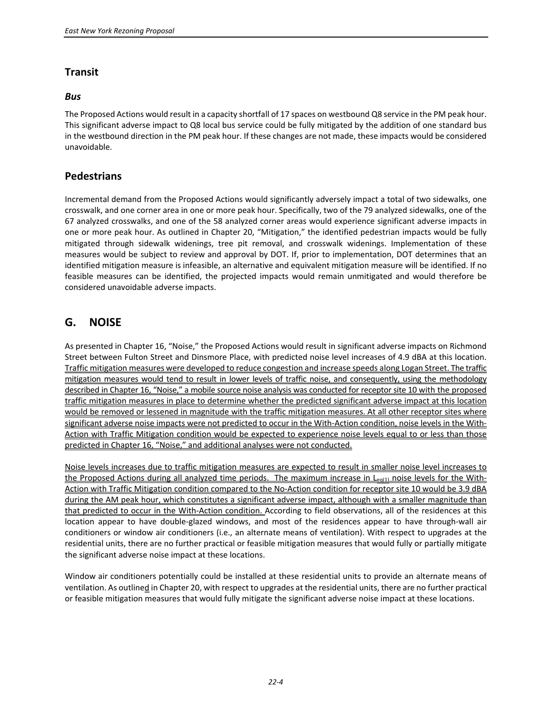### **Transit**

#### *Bus*

The Proposed Actions would result in a capacity shortfall of 17 spaces on westbound Q8 service in the PM peak hour. This significant adverse impact to Q8 local bus service could be fully mitigated by the addition of one standard bus in the westbound direction in the PM peak hour. If these changes are not made, these impacts would be considered unavoidable.

#### **Pedestrians**

Incremental demand from the Proposed Actions would significantly adversely impact a total of two sidewalks, one crosswalk, and one corner area in one or more peak hour. Specifically, two of the 79 analyzed sidewalks, one of the 67 analyzed crosswalks, and one of the 58 analyzed corner areas would experience significant adverse impacts in one or more peak hour. As outlined in Chapter 20, "Mitigation," the identified pedestrian impacts would be fully mitigated through sidewalk widenings, tree pit removal, and crosswalk widenings. Implementation of these measures would be subject to review and approval by DOT. If, prior to implementation, DOT determines that an identified mitigation measure is infeasible, an alternative and equivalent mitigation measure will be identified. If no feasible measures can be identified, the projected impacts would remain unmitigated and would therefore be considered unavoidable adverse impacts.

# **G. NOISE**

As presented in Chapter 16, "Noise," the Proposed Actions would result in significant adverse impacts on Richmond Street between Fulton Street and Dinsmore Place, with predicted noise level increases of 4.9 dBA at this location. Traffic mitigation measures were developed to reduce congestion and increase speeds along Logan Street. The traffic mitigation measures would tend to result in lower levels of traffic noise, and consequently, using the methodology described in Chapter 16, "Noise," a mobile source noise analysis was conducted for receptor site 10 with the proposed traffic mitigation measures in place to determine whether the predicted significant adverse impact at this location would be removed or lessened in magnitude with the traffic mitigation measures. At all other receptor sites where significant adverse noise impacts were not predicted to occur in the With-Action condition, noise levels in the With-Action with Traffic Mitigation condition would be expected to experience noise levels equal to or less than those predicted in Chapter 16, "Noise," and additional analyses were not conducted.

Noise levels increases due to traffic mitigation measures are expected to result in smaller noise level increases to the Proposed Actions during all analyzed time periods. The maximum increase in  $L_{eq(1)}$  noise levels for the With-Action with Traffic Mitigation condition compared to the No-Action condition for receptor site 10 would be 3.9 dBA during the AM peak hour, which constitutes a significant adverse impact, although with a smaller magnitude than that predicted to occur in the With-Action condition. According to field observations, all of the residences at this location appear to have double‐glazed windows, and most of the residences appear to have through‐wall air conditioners or window air conditioners (i.e., an alternate means of ventilation). With respect to upgrades at the residential units, there are no further practical or feasible mitigation measures that would fully or partially mitigate the significant adverse noise impact at these locations.

Window air conditioners potentially could be installed at these residential units to provide an alternate means of ventilation. As outlined in Chapter 20, with respect to upgrades at the residential units, there are no further practical or feasible mitigation measures that would fully mitigate the significant adverse noise impact at these locations.